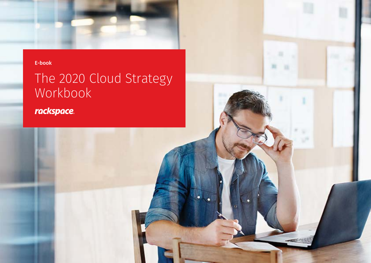

# The 2020 Cloud Strategy Workbook

rackspace.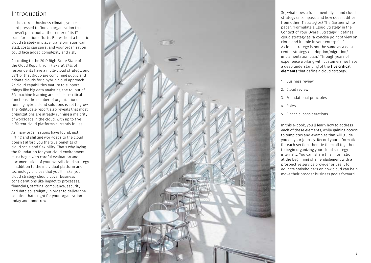# Introduction

In the current business climate, you're hard pressed to find an organization that doesn't put cloud at the center of its IT transformation efforts. But without a holistic cloud strategy in place, transformation can stall, costs can spiral and your organization could face added complexity and risk.

According to the 2019 RightScale State of the Cloud Report from Flexera 1 , 84% of respondents have a multi-cloud strategy, and 58% of that group are combining public and private clouds for a hybrid cloud approach. As cloud capabilities mature to support things like big data analytics, the rollout of 5G, machine learning and mission-critical functions, the number of organizations running hybrid cloud solutions is set to grow. The RightScale report also reveals that most organizations are already running a majority of workloads in the cloud, with up to five different cloud platforms currently in use.

As many organizations have found, just lifting and shifting workloads to the cloud doesn't afford you the true benefits of cloud scale and flexibility. That's why laying the foundation for your cloud environment must begin with careful evaluation and documentation of your overall cloud strategy. In addition to the individual platform and technology choices that you'll make, your cloud strategy should cover business considerations like impact to processes, financials, staffing, compliance, security and data sovereignty in order to deliver the solution that's right for your organization today and tomorrow.



So, what does a fundamentally sound cloud strategy encompass, and how does it differ from other IT strategies? The Gartner white paper, "Formulate a Cloud Strategy in the Context of Your Overall Strategy" 2 , defines cloud strategy as "a concise point of view on cloud and its role in your enterprise". A cloud strategy is not the same as a data center strategy or adoption/migration/ implementation plan." Through years of experience working with customers, we have a deep understanding of the five critical elements that define a cloud strategy:

- 1. Business review
- 2. Cloud review
- 3. Foundational principles
- 4. Roles
- 5. Financial considerations

In this e-book, you'll learn how to address each of these elements, while gaining access to templates and examples that will guide you on your journey. Record your information for each section, then tie them all together to begin organizing your cloud strategy internally. You can share this information at the beginning of an engagement with a prospective service provider or use it to educate stakeholders on how cloud can help move their broader business goals forward.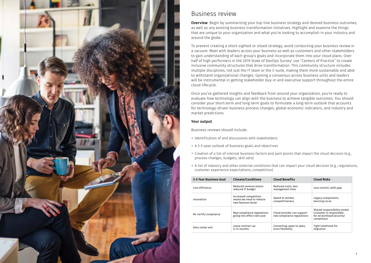

## Business review

**Overview:** Begin by summarizing your top-line business strategy and desired business outcomes, as well as any existing business transformation initiatives. Highlight and examine the things that are unique to your organization and what you're looking to accomplish in your industry and around the globe.

To prevent creating a short-sighted or siloed strategy, avoid conducting your business review in a vacuum. Meet with leaders across your business as well as customers and other stakeholders to gain understanding of each group's goals and incorporate them into your cloud plans. Over half of high performers in the 2019 State of DevOps Survey<sup>3</sup> use "Centers of Practice" to create inclusive community structures that drive transformation. This community structure includes multiple disciplines, not just the IT team or the C-suite, making them more sustainable and able to withstand organizational changes. Gaining a consensus across business units and leaders will be instrumental in getting stakeholder buy-in and executive support throughout the entire cloud lifecycle.

Once you've gathered insights and feedback from around your organization, you're ready to evaluate how technology can align with the business to achieve tangible outcomes. You should consider your short-term and long-term goals to formulate a long-term outlook that accounts for technology-driven business process changes, global economic indicators, and industry and market predictions.

#### Your output:

Business reviews should include:

- Identification of and discussions with stakeholders
- A 3-5-year outlook of business goals and objectives
- Creation of a list of internal business factors and pain points that impact the cloud decision (e.g., process changes, budgets, skill sets)
- A list of industry and other external conditions that can impact your cloud decision (e.g., regulations, customer experience expectations, competition)

| 3-5 Year Business Goal | <b>Climate/Conditions</b>                                                | <b>Cloud Benefits</b>                                    | <b>Cloud Risks</b>                                                                                  |
|------------------------|--------------------------------------------------------------------------|----------------------------------------------------------|-----------------------------------------------------------------------------------------------------|
| Cost efficiency        | Reduced revenue means<br>reduced IT budget                               | Reduced costs, less<br>management time                   | Less control, skills gap                                                                            |
| Innovation             | Increased competition<br>means we need to release<br>new features faster | Speed to market,<br>competitiveness                      | Legacy components,<br>learning curve                                                                |
| Re-certify compliance  | New compliance regulations<br>going into effect next year                | Cloud provider can support<br>new compliance regulations | Shared responsibility model.<br>Customer is responsible<br>for all workload security/<br>compliance |
| Data center exit       | Lease contract up<br>in 14 months                                        | Converting capex to opex,<br>more flexibility            | Tight timeframe for<br>migration                                                                    |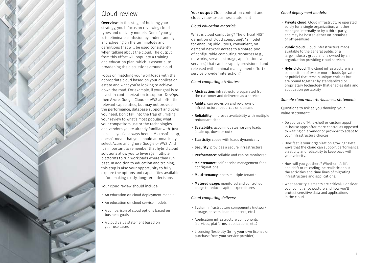

## Cloud review

**Overview:** In this stage of building your strategy, you'll focus on reviewing cloud types and delivery models. One of your goals is to eliminate confusion by understanding and agreeing on the terminology and definitions that will be used consistently when talking about the cloud. The output from this effort will populate a training and education plan, which is essential to broadening the discussions around cloud.

Focus on matching your workloads with the appropriate cloud based on your application estate and what you're looking to achieve down the road. For example, if your goal is to invest in containerization to support DevOps, then Azure, Google Cloud or AWS all offer the relevant capabilities, but may not provide the performance, database support and SLAs you need. Don't fall into the trap of limiting your review to what's most popular, what your competitors use or the technologies and vendors you're already familiar with. Just because you've always been a Microsoft shop, doesn't mean that you should automatically select Azure and ignore Google or AWS. And it's important to remember that hybrid cloud solutions allow you to leverage multiple platforms to run workloads where they run best. In addition to education and training, this step is also your opportunity to fully explore the options and capabilities available before making costly, long-term decisions.

Your cloud review should include:

- An education on cloud deployment models
- An education on cloud service models
- A comparison of cloud options based on business goals
- A cloud value statement based on your use cases

Your output: Cloud education content and cloud value-to-business statement

#### *Cloud education material*:

What is cloud computing? The official NIST definition of cloud computing<sup>4</sup>: "a model for enabling ubiquitous, convenient, ondemand network access to a shared pool of configurable computing resources (e.g., networks, servers, storage, applications and services) that can be rapidly provisioned and released with minimal management effort or service provider interaction."

#### *Cloud computing attributes*:

- Abstraction: infrastructure separated from the customer and delivered as a service
- **Agility**: can provision and re-provision infrastructure resources on demand
- Reliability: improves availability with multiple redundant sites
- Scalability: accommodates varying loads (scale up, down or out)
- Elasticity: copes with loads dynamically
- Security: provides a secure infrastructure
- Performance: reliable and can be monitored
- Maintenance: self-service management for all configurations
- Multi-tenancy: hosts multiple tenants
- Metered usage: monitored and controlled usage to reduce capital expenditures

#### *Cloud computing delivers*:

- System infrastructure components (network, storage, servers, load balancers, etc.)
- Application infrastructure components (services, platforms, applications, etc.)
- Licensing flexibility (bring your own license or purchase from your service provider)

#### *Cloud deployment models*:

- Private cloud: Cloud infrastructure operated solely for a single organization, whether managed internally or by a third-party, and may be hosted either on-premises or off-premises
- Public cloud: Cloud infrastructure made available to the general public or a large industry group and is owned by an organization providing cloud services
- Hybrid cloud: The cloud infrastructure is a composition of two or more clouds (private or public) that remain unique entities but are bound together by standardized or proprietary technology that enables data and application portability

#### *Sample cloud value-to-business statement*:

Questions to ask as you develop your value statement:

- Do you use off-the-shelf or custom apps? In-house apps offer more control as opposed to waiting on a vendor or provider to adapt to your infrastructure choices.
- How fast is your organization growing? Detail ways that the cloud can support performance, elasticity and reliability to keep pace with your velocity.
- How will you get there? Whether it's lift and shift or re-coding, be realistic about the activities and time lines of migrating infrastructure and applications.
- What security elements are critical? Consider your compliance posture and how you'll protect sensitive data and applications in the cloud.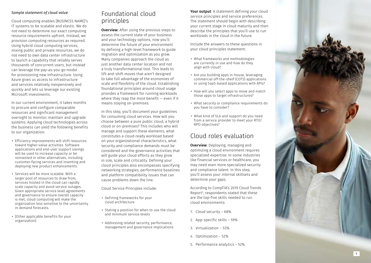#### *Sample statement of cloud value*:

Cloud computing enables [BUSINESS NAME]'s IT systems to be scalable and elastic. We do not need to determine our exact computing resource requirements upfront. Instead, we provision computing resources as required. Using hybrid cloud computing services, mixing public and private resources, we do not need to own data center infrastructure to launch a capability that reliably serves thousands of concurrent users, but instead can leverage the pay-as-you-go model for provisioning new infrastructure. Using Azure gives us access to infrastructure and services relatively inexpensively and quickly and lets us leverage our existing Microsoft investments.

In our current environment, it takes months to procure and configure comparable resources and significant management oversight to monitor, maintain and upgrade systems. Applying cloud technologies across the business can yield the following benefits to our organization:

- Efficiency improvements will shift resources toward higher-value activities. Software applications and end-user support savings will be used to increase capacity or be reinvested in other alternatives, including customer-facing services and inventing and deploying new product enhancements.
- Services will be more scalable. With a larger pool of resources to draw from, services hosted in the cloud can rapidly scale capacity and avoid service outages. Given appropriate service level agreements and governance to ensure overall capacity is met, cloud computing will make the organization less sensitive to the uncertainty in demand forecasts.
- [Other applicable benefits for your organization]

# Foundational cloud principles

**Overview**: After using the previous steps to assess the current state of your business and your technology options, now you'll determine the future of your environment by defining a high-level framework to guide migration and optimization as you grow. Many companies approach the cloud as just another data center location and not a truly transformational tool. This leads to lift-and-shift moves that aren't designed to take full advantage of the economies of scale and flexibility of the cloud. Establishing foundational principles around cloud usage provides a framework for running workloads where they reap the most benefit  $-$  even if it means staying on-premises.

In this step, you'll document your guidelines for consuming cloud services. How will you choose between a pure public cloud, a hybrid cloud or on-premises? This includes who will manage and support these elements, what constitutes a cloud-ready workload based on your organizational characteristics, what security and compliance demands must be considered and the governance activities that will guide your cloud efforts as they grow in size, scale and criticality. Defining your cloud principles also encompasses specifying networking strategies, performance baselines and platform compatibility issues that can cause problems down the line.

Cloud Service Principles include:

- Defining frameworks for your cloud architecture
- Stating a position for when to use the cloud and minimum service levels
- Addressing related security, performance, management and governance implications

Your output: A statement defining your cloud service principles and service preferences. The statement should begin with describing your current stage in cloud maturity and then describe the principles that you'll use to run workloads in the cloud in the future.

Include the answers to these questions in your cloud principles statement:

- What frameworks and methodologies are currently in use and how do they align with cloud?
- Are you building apps in-house, leveraging commercial off-the-shelf (COTS) applications or using SaaS-based applications with APIs?
- How will you select apps to move and match those apps to target infrastructures?
- What security or compliance requirements do you have to consider?
- What kind of SLA and support do you need from a service provider to meet your RTO/ RPO objectives?

## Cloud roles evaluation

**Overview:** Deploying, managing and optimizing a cloud environment requires specialized expertise. In some industries like financial services or healthcare, you may need even more specialized security and compliance talent. In this step, you'll assess your internal skillsets and determine your gaps.

According to CompTIA's 2019 Cloud Trends Report 5 , respondents stated that these are the top-five skills needed to run cloud environments:

- 1. Cloud security 68%
- 2. App-specific skills 59%
- 3. Virtualization 53%
- 4. Optimization 52%
- 5. Performance analytics 52%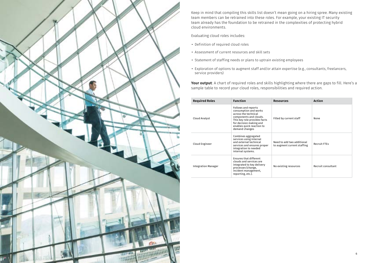

Keep in mind that compiling this skills list doesn't mean going on a hiring spree. Many existing team members can be retrained into these roles. For example, your existing IT security team already has the foundation to be retrained in the complexities of protecting hybrid cloud environments.

Evaluating cloud roles includes:

- Definition of required cloud roles
- Assessment of current resources and skill sets
- Statement of staffing needs or plans to uptrain existing employees
- Exploration of options to augment staff and/or attain expertise (e.g., consultants, freelancers, service providers)

Your output: A chart of required roles and skills highlighting where there are gaps to fill. Here's a sample table to record your cloud roles, responsibilities and required action.

| <b>Required Roles</b>      | <b>Function</b>                                                                                                                                                                                          | <b>Resources</b>                                          | <b>Action</b>       |
|----------------------------|----------------------------------------------------------------------------------------------------------------------------------------------------------------------------------------------------------|-----------------------------------------------------------|---------------------|
| Cloud Analyst              | Follows and reports<br>consumption and works<br>across the technical<br>components and clouds.<br>This key role provides facts<br>for decision making and<br>enables quick reaction to<br>demand changes | Filled by current staff                                   | None                |
| Cloud Engineer             | Combines aggregated<br>services using internal<br>and external technical<br>services and ensures proper<br>integration to needed<br>internal systems.                                                    | Need to add two additional<br>to augment current staffing | <b>Recruit FTEs</b> |
| <b>Integration Manager</b> | <b>Ensures that different</b><br>clouds and services are<br>integrated to key delivery<br>processes (change,<br>incident management,<br>reporting, etc.).                                                | No existing resources                                     | Recruit consultant  |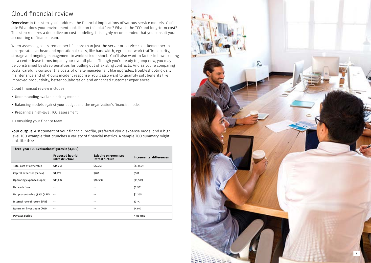# Cloud financial review

Overview: In this step, you'll address the financial implications of various service models. You'll ask: What does your environment look like on this platform? What is the TCO and long-term cost? This step requires a deep dive on cost modeling. It is highly recommended that you consult your accounting or finance team.

When assessing costs, remember it's more than just the server or service cost. Remember to incorporate overhead and operational costs, like bandwidth, egress network traffic, security, storage and ongoing management to avoid sticker shock. You'll also want to factor in how existing data center lease terms impact your overall plans. Though you're ready to jump now, you may be constrained by steep penalties for pulling out of existing contracts. And as you're comparing costs, carefully consider the costs of onsite management like upgrades, troubleshooting daily maintenance and off-hours incident response. You'll also want to quantify soft benefits like improved productivity, better collaboration and enhanced customer experiences.

Cloud financial review includes:

- Understanding available pricing models
- Balancing models against your budget and the organization's financial model
- Preparing a high-level TCO assessment
- Consulting your finance team

Your output: A statement of your financial profile, preferred cloud expense model and a highlevel TCO example that crunches a variety of financial metrics. A sample TCO summary might look like this:

#### **Three-year TCO Evaluation (figures in \$1,000)**

|                               | <b>Proposed hybrid</b><br>infrastructure | <b>Existing on-premises</b><br>infrastructure | Incremental differences |
|-------------------------------|------------------------------------------|-----------------------------------------------|-------------------------|
| Total cost of ownership       | \$14,256                                 | \$17,258                                      | \$(3,002)               |
| Capital expenses (capex)      | \$1,219                                  | \$707                                         | \$511                   |
| Operating expenses (opex)     | \$13,037                                 | \$16,550                                      | \$(3,513)               |
| Net cash flow                 | $- -$                                    | --                                            | \$2,981                 |
| Net present value @8% (NPV)   | $- -$                                    | --                                            | \$2,365                 |
| Internal rate of return (IRR) | $\sim$ $-$                               | $- -$                                         | 121%                    |
| Return on investment (ROI)    | $- -$                                    | --                                            | 24.9%                   |
| Payback period                |                                          |                                               | 7 months                |